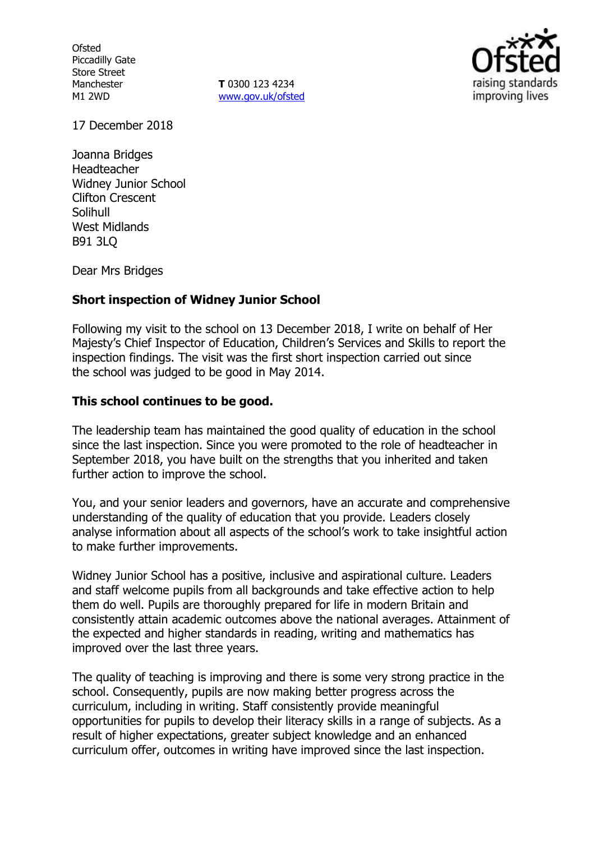**Ofsted** Piccadilly Gate Store Street Manchester M1 2WD

**T** 0300 123 4234 www.gov.uk/ofsted



17 December 2018

Joanna Bridges Headteacher Widney Junior School Clifton Crescent Solihull West Midlands B91 3LQ

Dear Mrs Bridges

## **Short inspection of Widney Junior School**

Following my visit to the school on 13 December 2018, I write on behalf of Her Majesty's Chief Inspector of Education, Children's Services and Skills to report the inspection findings. The visit was the first short inspection carried out since the school was judged to be good in May 2014.

### **This school continues to be good.**

The leadership team has maintained the good quality of education in the school since the last inspection. Since you were promoted to the role of headteacher in September 2018, you have built on the strengths that you inherited and taken further action to improve the school.

You, and your senior leaders and governors, have an accurate and comprehensive understanding of the quality of education that you provide. Leaders closely analyse information about all aspects of the school's work to take insightful action to make further improvements.

Widney Junior School has a positive, inclusive and aspirational culture. Leaders and staff welcome pupils from all backgrounds and take effective action to help them do well. Pupils are thoroughly prepared for life in modern Britain and consistently attain academic outcomes above the national averages. Attainment of the expected and higher standards in reading, writing and mathematics has improved over the last three years.

The quality of teaching is improving and there is some very strong practice in the school. Consequently, pupils are now making better progress across the curriculum, including in writing. Staff consistently provide meaningful opportunities for pupils to develop their literacy skills in a range of subjects. As a result of higher expectations, greater subject knowledge and an enhanced curriculum offer, outcomes in writing have improved since the last inspection.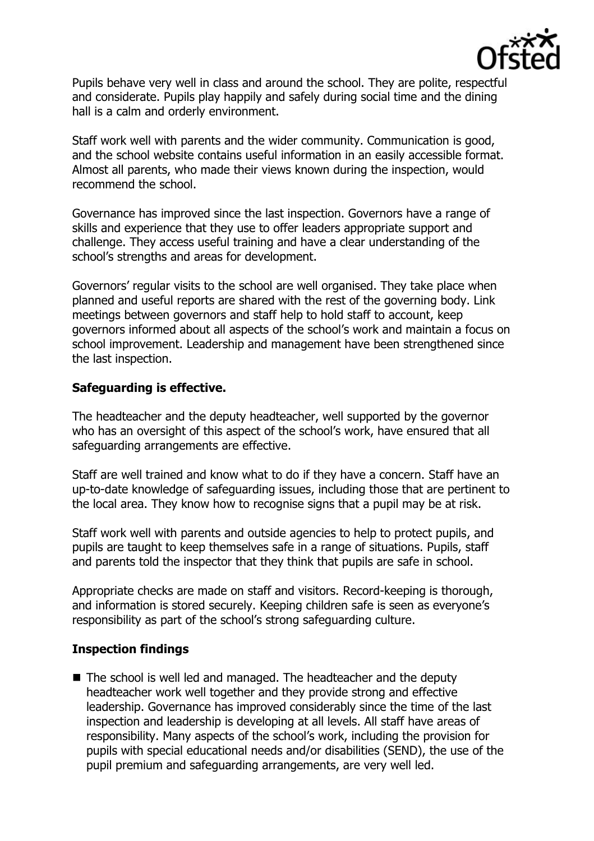

Pupils behave very well in class and around the school. They are polite, respectful and considerate. Pupils play happily and safely during social time and the dining hall is a calm and orderly environment.

Staff work well with parents and the wider community. Communication is good, and the school website contains useful information in an easily accessible format. Almost all parents, who made their views known during the inspection, would recommend the school.

Governance has improved since the last inspection. Governors have a range of skills and experience that they use to offer leaders appropriate support and challenge. They access useful training and have a clear understanding of the school's strengths and areas for development.

Governors' regular visits to the school are well organised. They take place when planned and useful reports are shared with the rest of the governing body. Link meetings between governors and staff help to hold staff to account, keep governors informed about all aspects of the school's work and maintain a focus on school improvement. Leadership and management have been strengthened since the last inspection.

## **Safeguarding is effective.**

The headteacher and the deputy headteacher, well supported by the governor who has an oversight of this aspect of the school's work, have ensured that all safeguarding arrangements are effective.

Staff are well trained and know what to do if they have a concern. Staff have an up-to-date knowledge of safeguarding issues, including those that are pertinent to the local area. They know how to recognise signs that a pupil may be at risk.

Staff work well with parents and outside agencies to help to protect pupils, and pupils are taught to keep themselves safe in a range of situations. Pupils, staff and parents told the inspector that they think that pupils are safe in school.

Appropriate checks are made on staff and visitors. Record-keeping is thorough, and information is stored securely. Keeping children safe is seen as everyone's responsibility as part of the school's strong safeguarding culture.

## **Inspection findings**

The school is well led and managed. The headteacher and the deputy headteacher work well together and they provide strong and effective leadership. Governance has improved considerably since the time of the last inspection and leadership is developing at all levels. All staff have areas of responsibility. Many aspects of the school's work, including the provision for pupils with special educational needs and/or disabilities (SEND), the use of the pupil premium and safeguarding arrangements, are very well led.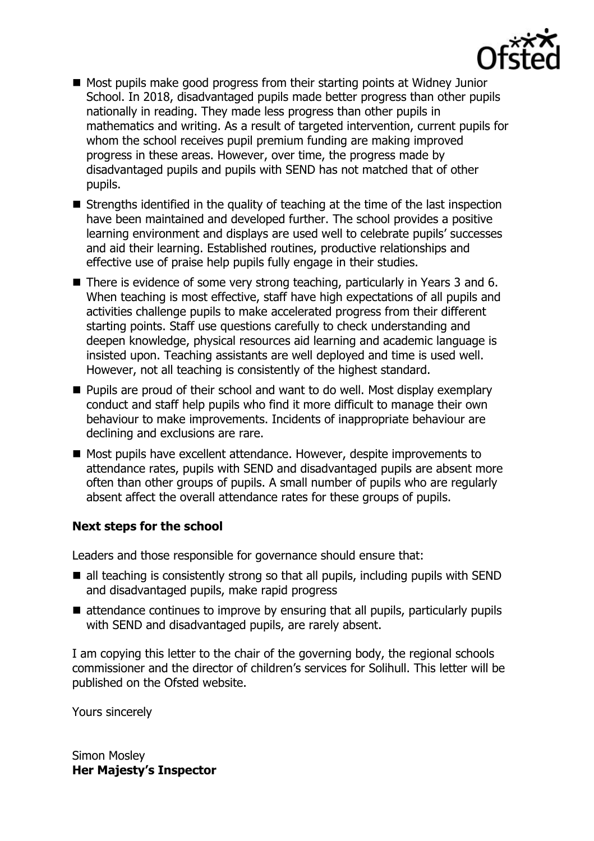

- Most pupils make good progress from their starting points at Widney Junior School. In 2018, disadvantaged pupils made better progress than other pupils nationally in reading. They made less progress than other pupils in mathematics and writing. As a result of targeted intervention, current pupils for whom the school receives pupil premium funding are making improved progress in these areas. However, over time, the progress made by disadvantaged pupils and pupils with SEND has not matched that of other pupils.
- $\blacksquare$  Strengths identified in the quality of teaching at the time of the last inspection have been maintained and developed further. The school provides a positive learning environment and displays are used well to celebrate pupils' successes and aid their learning. Established routines, productive relationships and effective use of praise help pupils fully engage in their studies.
- There is evidence of some very strong teaching, particularly in Years 3 and 6. When teaching is most effective, staff have high expectations of all pupils and activities challenge pupils to make accelerated progress from their different starting points. Staff use questions carefully to check understanding and deepen knowledge, physical resources aid learning and academic language is insisted upon. Teaching assistants are well deployed and time is used well. However, not all teaching is consistently of the highest standard.
- **Pupils are proud of their school and want to do well. Most display exemplary** conduct and staff help pupils who find it more difficult to manage their own behaviour to make improvements. Incidents of inappropriate behaviour are declining and exclusions are rare.
- Most pupils have excellent attendance. However, despite improvements to attendance rates, pupils with SEND and disadvantaged pupils are absent more often than other groups of pupils. A small number of pupils who are regularly absent affect the overall attendance rates for these groups of pupils.

## **Next steps for the school**

Leaders and those responsible for governance should ensure that:

- $\blacksquare$  all teaching is consistently strong so that all pupils, including pupils with SEND and disadvantaged pupils, make rapid progress
- $\blacksquare$  attendance continues to improve by ensuring that all pupils, particularly pupils with SEND and disadvantaged pupils, are rarely absent.

I am copying this letter to the chair of the governing body, the regional schools commissioner and the director of children's services for Solihull. This letter will be published on the Ofsted website.

Yours sincerely

Simon Mosley **Her Majesty's Inspector**